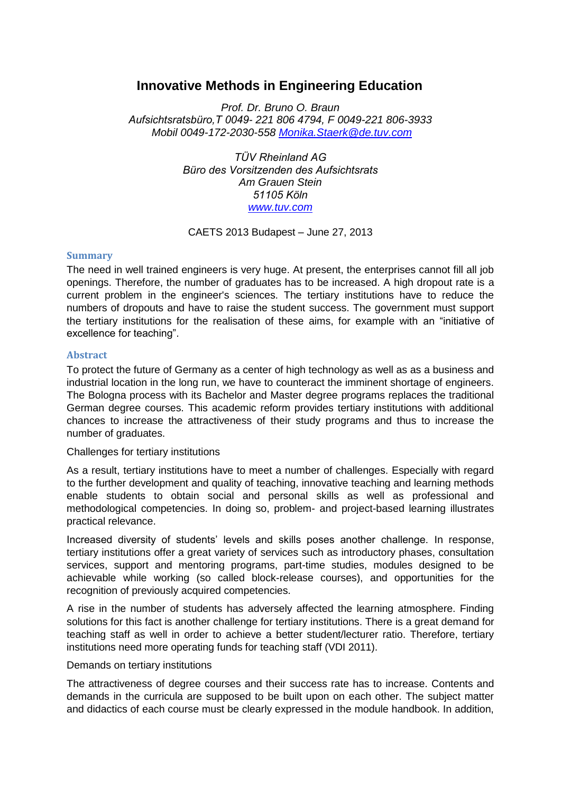# **Innovative Methods in Engineering Education**

*Prof. Dr. Bruno O. Braun Aufsichtsratsbüro,T 0049- 221 806 4794, F 0049-221 806-3933 Mobil 0049-172-2030-558 [Monika.Staerk@de.tuv.com](mailto:Monika.Staerk@de.tuv.com)*

> *TÜV Rheinland AG Büro des Vorsitzenden des Aufsichtsrats Am Grauen Stein 51105 Köln [www.tuv.com](wlmailhtml:%7b651156D3-B29F-4947-82E5-EA9FF5379DFD%7dmid:/00000006/www.tuv.com)*

## CAETS 2013 Budapest – June 27, 2013

## **Summary**

The need in well trained engineers is very huge. At present, the enterprises cannot fill all job openings. Therefore, the number of graduates has to be increased. A high dropout rate is a current problem in the engineer's sciences. The tertiary institutions have to reduce the numbers of dropouts and have to raise the student success. The government must support the tertiary institutions for the realisation of these aims, for example with an "initiative of excellence for teaching".

## **Abstract**

To protect the future of Germany as a center of high technology as well as as a business and industrial location in the long run, we have to counteract the imminent shortage of engineers. The Bologna process with its Bachelor and Master degree programs replaces the traditional German degree courses. This academic reform provides tertiary institutions with additional chances to increase the attractiveness of their study programs and thus to increase the number of graduates.

#### Challenges for tertiary institutions

As a result, tertiary institutions have to meet a number of challenges. Especially with regard to the further development and quality of teaching, innovative teaching and learning methods enable students to obtain social and personal skills as well as professional and methodological competencies. In doing so, problem- and project-based learning illustrates practical relevance.

Increased diversity of students' levels and skills poses another challenge. In response, tertiary institutions offer a great variety of services such as introductory phases, consultation services, support and mentoring programs, part-time studies, modules designed to be achievable while working (so called block-release courses), and opportunities for the recognition of previously acquired competencies.

A rise in the number of students has adversely affected the learning atmosphere. Finding solutions for this fact is another challenge for tertiary institutions. There is a great demand for teaching staff as well in order to achieve a better student/lecturer ratio. Therefore, tertiary institutions need more operating funds for teaching staff (VDI 2011).

# Demands on tertiary institutions

The attractiveness of degree courses and their success rate has to increase. Contents and demands in the curricula are supposed to be built upon on each other. The subject matter and didactics of each course must be clearly expressed in the module handbook. In addition,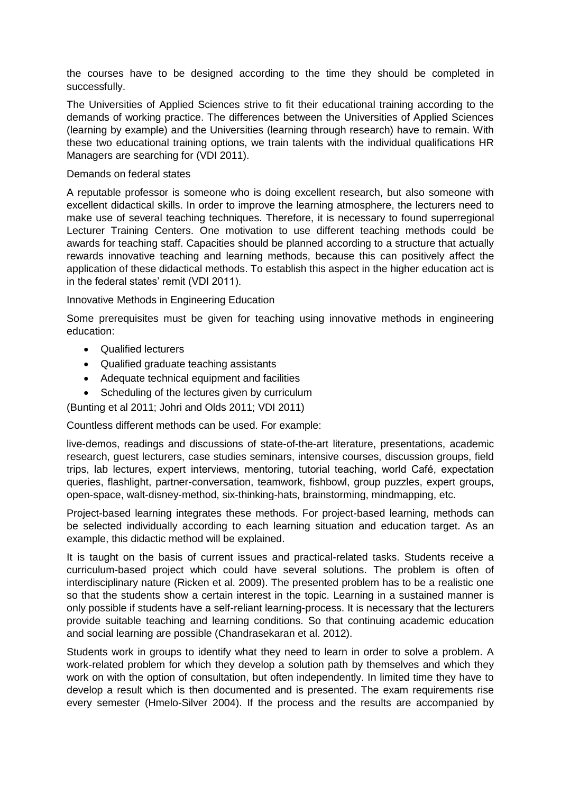the courses have to be designed according to the time they should be completed in successfully.

The Universities of Applied Sciences strive to fit their educational training according to the demands of working practice. The differences between the Universities of Applied Sciences (learning by example) and the Universities (learning through research) have to remain. With these two educational training options, we train talents with the individual qualifications HR Managers are searching for (VDI 2011).

## Demands on federal states

A reputable professor is someone who is doing excellent research, but also someone with excellent didactical skills. In order to improve the learning atmosphere, the lecturers need to make use of several teaching techniques. Therefore, it is necessary to found superregional Lecturer Training Centers. One motivation to use different teaching methods could be awards for teaching staff. Capacities should be planned according to a structure that actually rewards innovative teaching and learning methods, because this can positively affect the application of these didactical methods. To establish this aspect in the higher education act is in the federal states' remit (VDI 2011).

Innovative Methods in Engineering Education

Some prerequisites must be given for teaching using innovative methods in engineering education:

- **•** Qualified lecturers
- Qualified graduate teaching assistants
- Adequate technical equipment and facilities
- Scheduling of the lectures given by curriculum

(Bunting et al 2011; Johri and Olds 2011; VDI 2011)

Countless different methods can be used. For example:

live-demos, readings and discussions of state-of-the-art literature, presentations, academic research, guest lecturers, case studies seminars, intensive courses, discussion groups, field trips, lab lectures, expert interviews, mentoring, tutorial teaching, world Café, expectation queries, flashlight, partner-conversation, teamwork, fishbowl, group puzzles, expert groups, open-space, walt-disney-method, six-thinking-hats, brainstorming, mindmapping, etc.

Project-based learning integrates these methods. For project-based learning, methods can be selected individually according to each learning situation and education target. As an example, this didactic method will be explained.

It is taught on the basis of current issues and practical-related tasks. Students receive a curriculum-based project which could have several solutions. The problem is often of interdisciplinary nature (Ricken et al. 2009). The presented problem has to be a realistic one so that the students show a certain interest in the topic. Learning in a sustained manner is only possible if students have a self-reliant learning-process. It is necessary that the lecturers provide suitable teaching and learning conditions. So that continuing academic education and social learning are possible (Chandrasekaran et al. 2012).

Students work in groups to identify what they need to learn in order to solve a problem. A work-related problem for which they develop a solution path by themselves and which they work on with the option of consultation, but often independently. In limited time they have to develop a result which is then documented and is presented. The exam requirements rise every semester (Hmelo-Silver 2004). If the process and the results are accompanied by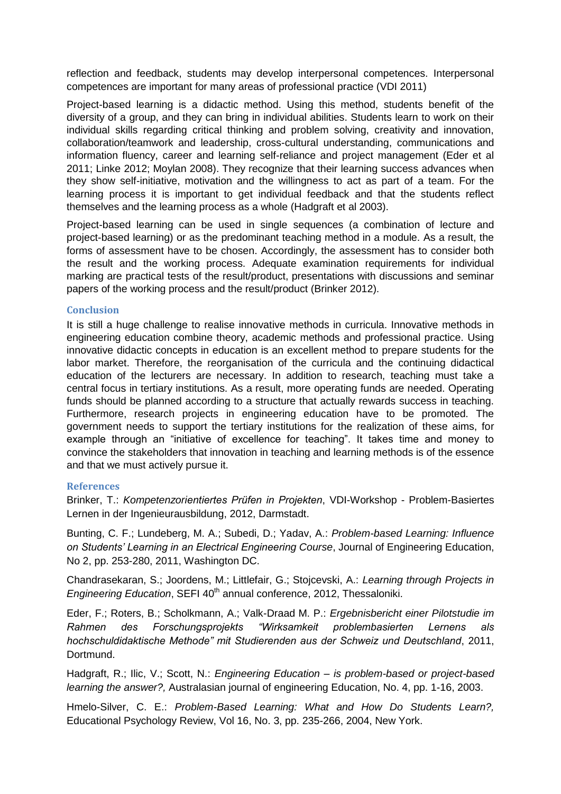reflection and feedback, students may develop interpersonal competences. Interpersonal competences are important for many areas of professional practice (VDI 2011)

Project-based learning is a didactic method. Using this method, students benefit of the diversity of a group, and they can bring in individual abilities. Students learn to work on their individual skills regarding critical thinking and problem solving, creativity and innovation, collaboration/teamwork and leadership, cross-cultural understanding, communications and information fluency, career and learning self-reliance and project management (Eder et al 2011; Linke 2012; Moylan 2008). They recognize that their learning success advances when they show self-initiative, motivation and the willingness to act as part of a team. For the learning process it is important to get individual feedback and that the students reflect themselves and the learning process as a whole (Hadgraft et al 2003).

Project-based learning can be used in single sequences (a combination of lecture and project-based learning) or as the predominant teaching method in a module. As a result, the forms of assessment have to be chosen. Accordingly, the assessment has to consider both the result and the working process. Adequate examination requirements for individual marking are practical tests of the result/product, presentations with discussions and seminar papers of the working process and the result/product (Brinker 2012).

# **Conclusion**

It is still a huge challenge to realise innovative methods in curricula. Innovative methods in engineering education combine theory, academic methods and professional practice. Using innovative didactic concepts in education is an excellent method to prepare students for the labor market. Therefore, the reorganisation of the curricula and the continuing didactical education of the lecturers are necessary. In addition to research, teaching must take a central focus in tertiary institutions. As a result, more operating funds are needed. Operating funds should be planned according to a structure that actually rewards success in teaching. Furthermore, research projects in engineering education have to be promoted. The government needs to support the tertiary institutions for the realization of these aims, for example through an "initiative of excellence for teaching". It takes time and money to convince the stakeholders that innovation in teaching and learning methods is of the essence and that we must actively pursue it.

# **References**

Brinker, T.: *Kompetenzorientiertes Prüfen in Projekten*, VDI-Workshop - Problem-Basiertes Lernen in der Ingenieurausbildung, 2012, Darmstadt.

Bunting, C. F.; Lundeberg, M. A.; Subedi, D.; Yadav, A.: *Problem-based Learning: Influence on Students' Learning in an Electrical Engineering Course*, Journal of Engineering Education, No 2, pp. 253-280, 2011, Washington DC.

Chandrasekaran, S.; Joordens, M.; Littlefair, G.; Stojcevski, A.: *Learning through Projects in Engineering Education*, SEFI 40<sup>th</sup> annual conference, 2012, Thessaloniki.

Eder, F.; Roters, B.; Scholkmann, A.; Valk-Draad M. P.: *Ergebnisbericht einer Pilotstudie im Rahmen des Forschungsprojekts "Wirksamkeit problembasierten Lernens als hochschuldidaktische Methode" mit Studierenden aus der Schweiz und Deutschland*, 2011, Dortmund.

Hadgraft, R.; Ilic, V.; Scott, N.: *Engineering Education – is problem-based or project-based learning the answer?,* Australasian journal of engineering Education, No. 4, pp. 1-16, 2003.

Hmelo-Silver, C. E.: *Problem-Based Learning: What and How Do Students Learn?,*  Educational Psychology Review, Vol 16, No. 3, pp. 235-266, 2004, New York.